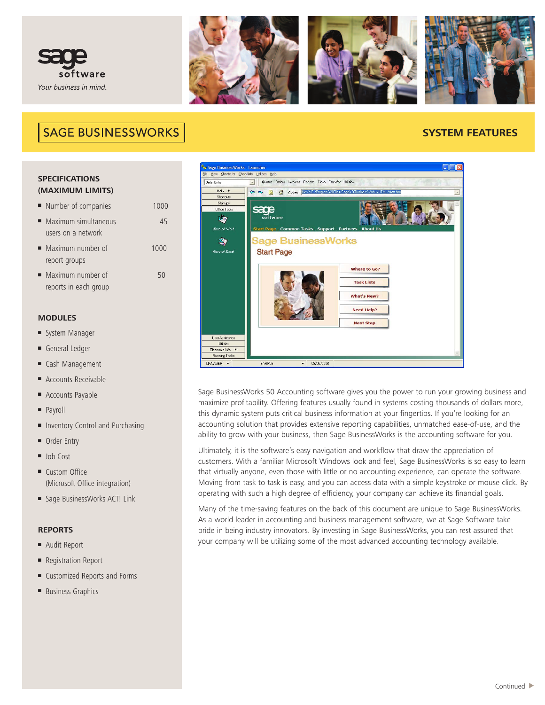



## **SAGE BUSINESSWORKS**

### **SYSTEM FEATURES**

### **SPECIFICATIONS (MAXIMUM LIMITS)**

- Number of companies 1000
- **■** Maximum simultaneous 45 users on a network
- **■** Maximum number of 1000 report groups
- Maximum number of 50 reports in each group

### **MODULES**

- **■** System Manager
- **■** General Ledger
- **■** Cash Management
- Accounts Receivable
- **■** Accounts Payable
- **■** Payroll
- Inventory Control and Purchasing
- **■** Order Entry
- **■** Job Cost
- Custom Office (Microsoft Office integration)
- **■** Sage BusinessWorks ACT! Link

### **REPORTS**

- **■** Audit Report
- Registration Report
- Customized Reports and Forms
- **■** Business Graphics



Sage BusinessWorks 50 Accounting software gives you the power to run your growing business and maximize profitability. Offering features usually found in systems costing thousands of dollars more, this dynamic system puts critical business information at your fingertips. If you're looking for an accounting solution that provides extensive reporting capabilities, unmatched ease-of-use, and the ability to grow with your business, then Sage BusinessWorks is the accounting software for you.

Ultimately, it is the software's easy navigation and workflow that draw the appreciation of customers. With a familiar Microsoft Windows look and feel, Sage BusinessWorks is so easy to learn that virtually anyone, even those with little or no accounting experience, can operate the software. Moving from task to task is easy, and you can access data with a simple keystroke or mouse click. By operating with such a high degree of efficiency, your company can achieve its financial goals.

Many of the time-saving features on the back of this document are unique to Sage BusinessWorks. As a world leader in accounting and business management software, we at Sage Software take pride in being industry innovators. By investing in Sage BusinessWorks, you can rest assured that your company will be utilizing some of the most advanced accounting technology available.